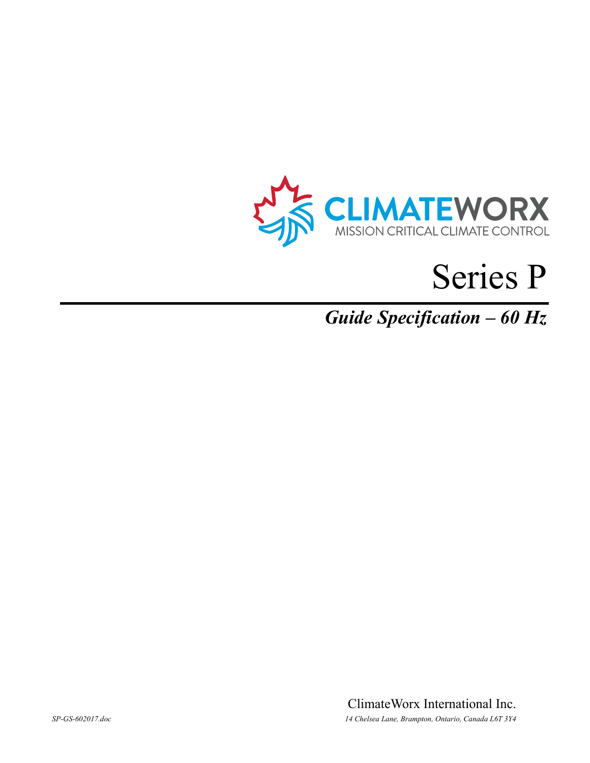

# Series P

*Guide Specification – 60 Hz*

ClimateWorx International Inc. *SP-GS-602017.doc 14 Chelsea Lane, Brampton, Ontario, Canada L6T 3Y4*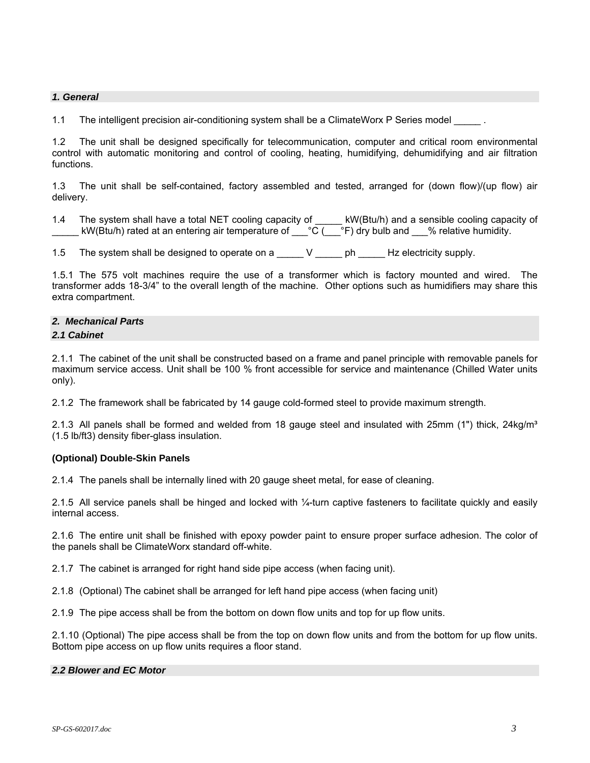# *1. General*

1.1 The intelligent precision air-conditioning system shall be a ClimateWorx P Series model

1.2 The unit shall be designed specifically for telecommunication, computer and critical room environmental control with automatic monitoring and control of cooling, heating, humidifying, dehumidifying and air filtration functions.

1.3 The unit shall be self-contained, factory assembled and tested, arranged for (down flow)/(up flow) air delivery.

- 1.4 The system shall have a total NET cooling capacity of \_\_\_\_\_ kW(Btu/h) and a sensible cooling capacity of kW(Btu/h) rated at an entering air temperature of  $\phantom{a}$  °C ( $\phantom{a}$ °F) dry bulb and  $\phantom{a}$  % relative humidity.
- 1.5 The system shall be designed to operate on a \_\_\_\_\_ V \_\_\_\_\_ ph \_\_\_\_\_ Hz electricity supply.

1.5.1 The 575 volt machines require the use of a transformer which is factory mounted and wired. The transformer adds 18-3/4" to the overall length of the machine. Other options such as humidifiers may share this extra compartment.

# *2. Mechanical Parts*

#### *2.1 Cabinet*

2.1.1 The cabinet of the unit shall be constructed based on a frame and panel principle with removable panels for maximum service access. Unit shall be 100 % front accessible for service and maintenance (Chilled Water units only).

2.1.2 The framework shall be fabricated by 14 gauge cold-formed steel to provide maximum strength.

2.1.3 All panels shall be formed and welded from 18 gauge steel and insulated with 25mm (1") thick, 24kg/m<sup>3</sup> (1.5 lb/ft3) density fiber-glass insulation.

# **(Optional) Double-Skin Panels**

2.1.4 The panels shall be internally lined with 20 gauge sheet metal, for ease of cleaning.

2.1.5 All service panels shall be hinged and locked with ¼-turn captive fasteners to facilitate quickly and easily internal access.

2.1.6 The entire unit shall be finished with epoxy powder paint to ensure proper surface adhesion. The color of the panels shall be ClimateWorx standard off-white.

2.1.7 The cabinet is arranged for right hand side pipe access (when facing unit).

2.1.8 (Optional) The cabinet shall be arranged for left hand pipe access (when facing unit)

2.1.9 The pipe access shall be from the bottom on down flow units and top for up flow units.

2.1.10 (Optional) The pipe access shall be from the top on down flow units and from the bottom for up flow units. Bottom pipe access on up flow units requires a floor stand.

# *2.2 Blower and EC Motor*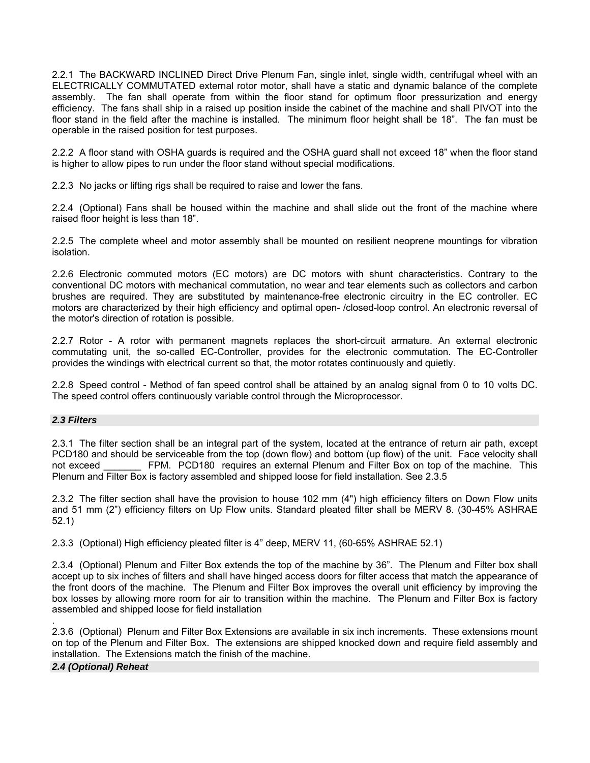2.2.1 The BACKWARD INCLINED Direct Drive Plenum Fan, single inlet, single width, centrifugal wheel with an ELECTRICALLY COMMUTATED external rotor motor, shall have a static and dynamic balance of the complete assembly. The fan shall operate from within the floor stand for optimum floor pressurization and energy efficiency. The fans shall ship in a raised up position inside the cabinet of the machine and shall PIVOT into the floor stand in the field after the machine is installed. The minimum floor height shall be 18". The fan must be operable in the raised position for test purposes.

2.2.2 A floor stand with OSHA guards is required and the OSHA guard shall not exceed 18" when the floor stand is higher to allow pipes to run under the floor stand without special modifications.

2.2.3 No jacks or lifting rigs shall be required to raise and lower the fans.

2.2.4 (Optional) Fans shall be housed within the machine and shall slide out the front of the machine where raised floor height is less than 18".

2.2.5 The complete wheel and motor assembly shall be mounted on resilient neoprene mountings for vibration isolation.

2.2.6 Electronic commuted motors (EC motors) are DC motors with shunt characteristics. Contrary to the conventional DC motors with mechanical commutation, no wear and tear elements such as collectors and carbon brushes are required. They are substituted by maintenance-free electronic circuitry in the EC controller. EC motors are characterized by their high efficiency and optimal open- /closed-loop control. An electronic reversal of the motor's direction of rotation is possible.

2.2.7 Rotor - A rotor with permanent magnets replaces the short-circuit armature. An external electronic commutating unit, the so-called EC-Controller, provides for the electronic commutation. The EC-Controller provides the windings with electrical current so that, the motor rotates continuously and quietly.

2.2.8 Speed control - Method of fan speed control shall be attained by an analog signal from 0 to 10 volts DC. The speed control offers continuously variable control through the Microprocessor.

# *2.3 Filters*

2.3.1 The filter section shall be an integral part of the system, located at the entrance of return air path, except PCD180 and should be serviceable from the top (down flow) and bottom (up flow) of the unit. Face velocity shall not exceed FPM. PCD180 requires an external Plenum and Filter Box on top of the machine. This Plenum and Filter Box is factory assembled and shipped loose for field installation. See 2.3.5

2.3.2 The filter section shall have the provision to house 102 mm (4") high efficiency filters on Down Flow units and 51 mm (2") efficiency filters on Up Flow units. Standard pleated filter shall be MERV 8. (30-45% ASHRAE 52.1)

2.3.3 (Optional) High efficiency pleated filter is 4" deep, MERV 11, (60-65% ASHRAE 52.1)

2.3.4 (Optional) Plenum and Filter Box extends the top of the machine by 36". The Plenum and Filter box shall accept up to six inches of filters and shall have hinged access doors for filter access that match the appearance of the front doors of the machine. The Plenum and Filter Box improves the overall unit efficiency by improving the box losses by allowing more room for air to transition within the machine. The Plenum and Filter Box is factory assembled and shipped loose for field installation

2.3.6 (Optional) Plenum and Filter Box Extensions are available in six inch increments. These extensions mount on top of the Plenum and Filter Box. The extensions are shipped knocked down and require field assembly and installation. The Extensions match the finish of the machine.

*2.4 (Optional) Reheat* 

.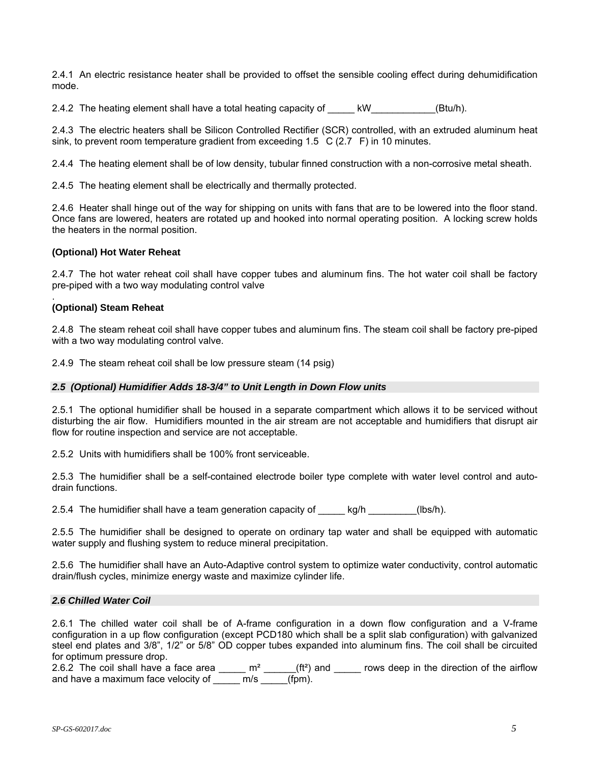2.4.1 An electric resistance heater shall be provided to offset the sensible cooling effect during dehumidification mode.

2.4.2 The heating element shall have a total heating capacity of kW [Btu/h).

2.4.3 The electric heaters shall be Silicon Controlled Rectifier (SCR) controlled, with an extruded aluminum heat sink, to prevent room temperature gradient from exceeding  $1.5\text{ C}$  (2.7 F) in 10 minutes.

2.4.4 The heating element shall be of low density, tubular finned construction with a non-corrosive metal sheath.

2.4.5 The heating element shall be electrically and thermally protected.

2.4.6 Heater shall hinge out of the way for shipping on units with fans that are to be lowered into the floor stand. Once fans are lowered, heaters are rotated up and hooked into normal operating position. A locking screw holds the heaters in the normal position.

# **(Optional) Hot Water Reheat**

2.4.7 The hot water reheat coil shall have copper tubes and aluminum fins. The hot water coil shall be factory pre-piped with a two way modulating control valve

#### . **(Optional) Steam Reheat**

2.4.8 The steam reheat coil shall have copper tubes and aluminum fins. The steam coil shall be factory pre-piped with a two way modulating control valve.

2.4.9 The steam reheat coil shall be low pressure steam (14 psig)

# *2.5 (Optional) Humidifier Adds 18-3/4" to Unit Length in Down Flow units*

2.5.1 The optional humidifier shall be housed in a separate compartment which allows it to be serviced without disturbing the air flow. Humidifiers mounted in the air stream are not acceptable and humidifiers that disrupt air flow for routine inspection and service are not acceptable.

2.5.2 Units with humidifiers shall be 100% front serviceable.

2.5.3 The humidifier shall be a self-contained electrode boiler type complete with water level control and autodrain functions.

2.5.4 The humidifier shall have a team generation capacity of kg/h  $kg/h$  (lbs/h).

2.5.5 The humidifier shall be designed to operate on ordinary tap water and shall be equipped with automatic water supply and flushing system to reduce mineral precipitation.

2.5.6 The humidifier shall have an Auto-Adaptive control system to optimize water conductivity, control automatic drain/flush cycles, minimize energy waste and maximize cylinder life.

# *2.6 Chilled Water Coil*

2.6.1 The chilled water coil shall be of A-frame configuration in a down flow configuration and a V-frame configuration in a up flow configuration (except PCD180 which shall be a split slab configuration) with galvanized steel end plates and 3/8", 1/2" or 5/8" OD copper tubes expanded into aluminum fins. The coil shall be circuited for optimum pressure drop.

2.6.2 The coil shall have a face area  $\mu$  m<sup>2</sup>  $\mu$  (ft<sup>2</sup>) and  $\mu$  rows deep in the direction of the airflow and have a maximum face velocity of \_\_\_\_\_\_ m/s \_\_\_\_\_(fpm).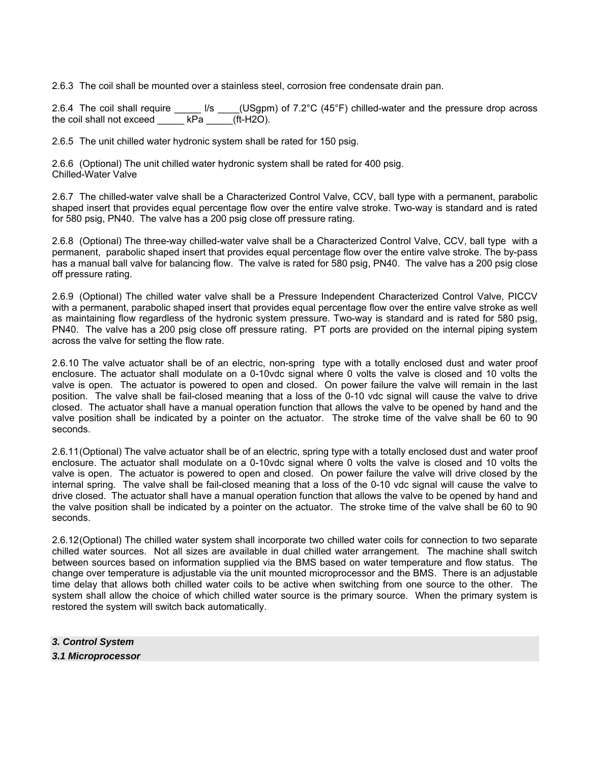2.6.3 The coil shall be mounted over a stainless steel, corrosion free condensate drain pan.

2.6.4 The coil shall require  $\frac{1}{s}$  (USgpm) of 7.2°C (45°F) chilled-water and the pressure drop across the coil shall not exceed kPa (ft-H2O).

2.6.5 The unit chilled water hydronic system shall be rated for 150 psig.

2.6.6 (Optional) The unit chilled water hydronic system shall be rated for 400 psig. Chilled-Water Valve

2.6.7 The chilled-water valve shall be a Characterized Control Valve, CCV, ball type with a permanent, parabolic shaped insert that provides equal percentage flow over the entire valve stroke. Two-way is standard and is rated for 580 psig, PN40. The valve has a 200 psig close off pressure rating.

2.6.8 (Optional) The three-way chilled-water valve shall be a Characterized Control Valve, CCV, ball type with a permanent, parabolic shaped insert that provides equal percentage flow over the entire valve stroke. The by-pass has a manual ball valve for balancing flow. The valve is rated for 580 psig, PN40. The valve has a 200 psig close off pressure rating.

2.6.9 (Optional) The chilled water valve shall be a Pressure Independent Characterized Control Valve, PICCV with a permanent, parabolic shaped insert that provides equal percentage flow over the entire valve stroke as well as maintaining flow regardless of the hydronic system pressure. Two-way is standard and is rated for 580 psig, PN40. The valve has a 200 psig close off pressure rating. PT ports are provided on the internal piping system across the valve for setting the flow rate.

2.6.10 The valve actuator shall be of an electric, non-spring type with a totally enclosed dust and water proof enclosure. The actuator shall modulate on a 0-10vdc signal where 0 volts the valve is closed and 10 volts the valve is open. The actuator is powered to open and closed. On power failure the valve will remain in the last position. The valve shall be fail-closed meaning that a loss of the 0-10 vdc signal will cause the valve to drive closed. The actuator shall have a manual operation function that allows the valve to be opened by hand and the valve position shall be indicated by a pointer on the actuator. The stroke time of the valve shall be 60 to 90 seconds.

2.6.11 (Optional) The valve actuator shall be of an electric, spring type with a totally enclosed dust and water proof enclosure. The actuator shall modulate on a 0-10vdc signal where 0 volts the valve is closed and 10 volts the valve is open. The actuator is powered to open and closed. On power failure the valve will drive closed by the internal spring. The valve shall be fail-closed meaning that a loss of the 0-10 vdc signal will cause the valve to drive closed. The actuator shall have a manual operation function that allows the valve to be opened by hand and the valve position shall be indicated by a pointer on the actuator. The stroke time of the valve shall be 60 to 90 seconds.

2.6.12 (Optional) The chilled water system shall incorporate two chilled water coils for connection to two separate chilled water sources. Not all sizes are available in dual chilled water arrangement. The machine shall switch between sources based on information supplied via the BMS based on water temperature and flow status. The change over temperature is adjustable via the unit mounted microprocessor and the BMS. There is an adjustable time delay that allows both chilled water coils to be active when switching from one source to the other. The system shall allow the choice of which chilled water source is the primary source. When the primary system is restored the system will switch back automatically.

*3. Control System 3.1 Microprocessor*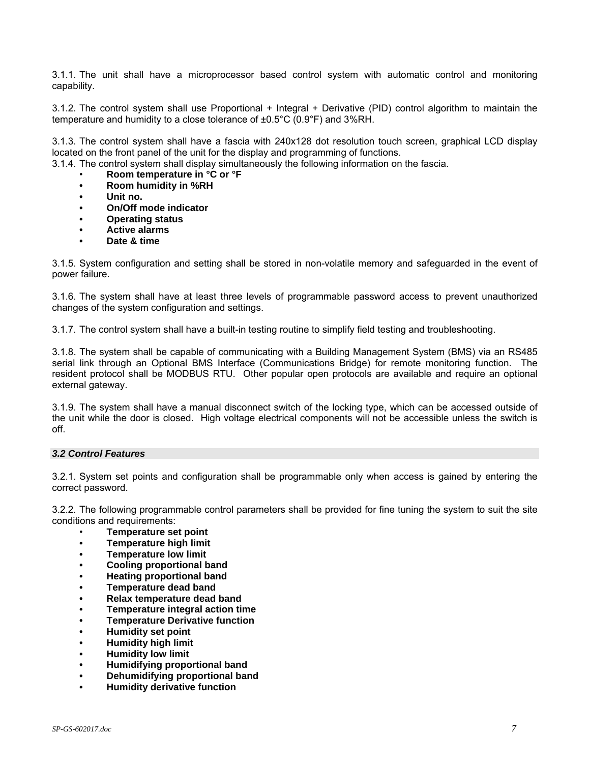3.1.1. The unit shall have a microprocessor based control system with automatic control and monitoring capability.

3.1.2. The control system shall use Proportional + Integral + Derivative (PID) control algorithm to maintain the temperature and humidity to a close tolerance of ±0.5°C (0.9°F) and 3%RH.

3.1.3. The control system shall have a fascia with 240x128 dot resolution touch screen, graphical LCD display located on the front panel of the unit for the display and programming of functions.

3.1.4. The control system shall display simultaneously the following information on the fascia.

- **Room temperature in °C or °F**
- **Room humidity in %RH**
- **Unit no.**
- **On/Off mode indicator**
- **Operating status**
- **Active alarms**
- **Date & time**

3.1.5. System configuration and setting shall be stored in non-volatile memory and safeguarded in the event of power failure.

3.1.6. The system shall have at least three levels of programmable password access to prevent unauthorized changes of the system configuration and settings.

3.1.7. The control system shall have a built-in testing routine to simplify field testing and troubleshooting.

3.1.8. The system shall be capable of communicating with a Building Management System (BMS) via an RS485 serial link through an Optional BMS Interface (Communications Bridge) for remote monitoring function. The resident protocol shall be MODBUS RTU. Other popular open protocols are available and require an optional external gateway.

3.1.9. The system shall have a manual disconnect switch of the locking type, which can be accessed outside of the unit while the door is closed. High voltage electrical components will not be accessible unless the switch is off.

# *3.2 Control Features*

3.2.1. System set points and configuration shall be programmable only when access is gained by entering the correct password.

3.2.2. The following programmable control parameters shall be provided for fine tuning the system to suit the site conditions and requirements:

- **Temperature set point**
- **Temperature high limit**
- **Temperature low limit**
- **Cooling proportional band**
- **Heating proportional band**
- **Temperature dead band**
- **Relax temperature dead band**
- **Temperature integral action time**
- **Temperature Derivative function**
- **Humidity set point**
- **Humidity high limit**
- **Humidity low limit**
- **Humidifying proportional band**
- **Dehumidifying proportional band**
- **Humidity derivative function**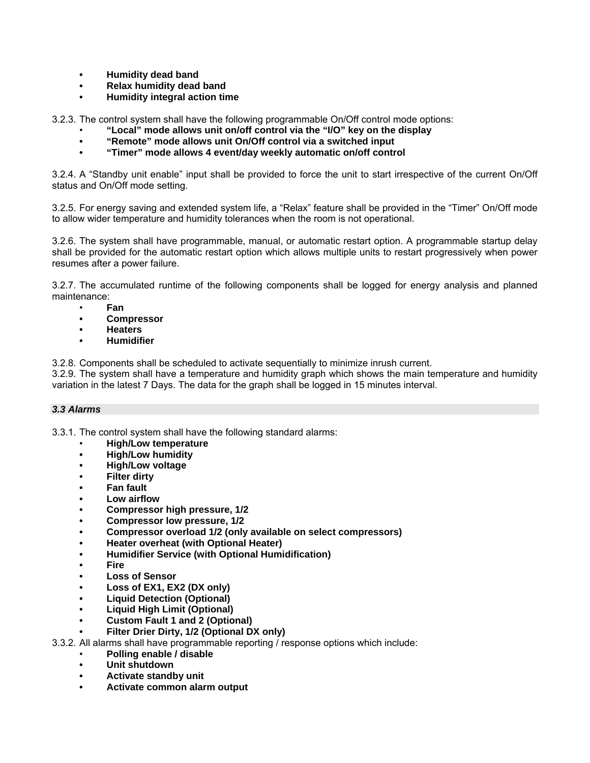- **Humidity dead band**
- **Relax humidity dead band**
- **Humidity integral action time**

3.2.3. The control system shall have the following programmable On/Off control mode options:

- **"Local" mode allows unit on/off control via the "I/O" key on the display**
- **"Remote" mode allows unit On/Off control via a switched input**
- **"Timer" mode allows 4 event/day weekly automatic on/off control**

3.2.4. A "Standby unit enable" input shall be provided to force the unit to start irrespective of the current On/Off status and On/Off mode setting.

3.2.5. For energy saving and extended system life, a "Relax" feature shall be provided in the "Timer" On/Off mode to allow wider temperature and humidity tolerances when the room is not operational.

3.2.6. The system shall have programmable, manual, or automatic restart option. A programmable startup delay shall be provided for the automatic restart option which allows multiple units to restart progressively when power resumes after a power failure.

3.2.7. The accumulated runtime of the following components shall be logged for energy analysis and planned maintenance:

- **Fan**
- **Compressor**
- **Heaters**
- **Humidifier**

3.2.8. Components shall be scheduled to activate sequentially to minimize inrush current.

3.2.9. The system shall have a temperature and humidity graph which shows the main temperature and humidity variation in the latest 7 Days. The data for the graph shall be logged in 15 minutes interval.

# *3.3 Alarms*

3.3.1. The control system shall have the following standard alarms:

- **High/Low temperature**
- **High/Low humidity**
- **High/Low voltage**
- **Filter dirty**
- **Fan fault**
- **Low airflow**
- **Compressor high pressure, 1/2**
- **Compressor low pressure, 1/2**
- **Compressor overload 1/2 (only available on select compressors)**
- **Heater overheat (with Optional Heater)**
- **Humidifier Service (with Optional Humidification)**
- **Fire**
- **Loss of Sensor**
- **Loss of EX1, EX2 (DX only)**
- **Liquid Detection (Optional)**
- **Liquid High Limit (Optional)**
- **Custom Fault 1 and 2 (Optional)**
- **Filter Drier Dirty, 1/2 (Optional DX only)**
- 3.3.2. All alarms shall have programmable reporting / response options which include:
	- **Polling enable / disable**
	- **Unit shutdown**
	- **Activate standby unit**
	- **Activate common alarm output**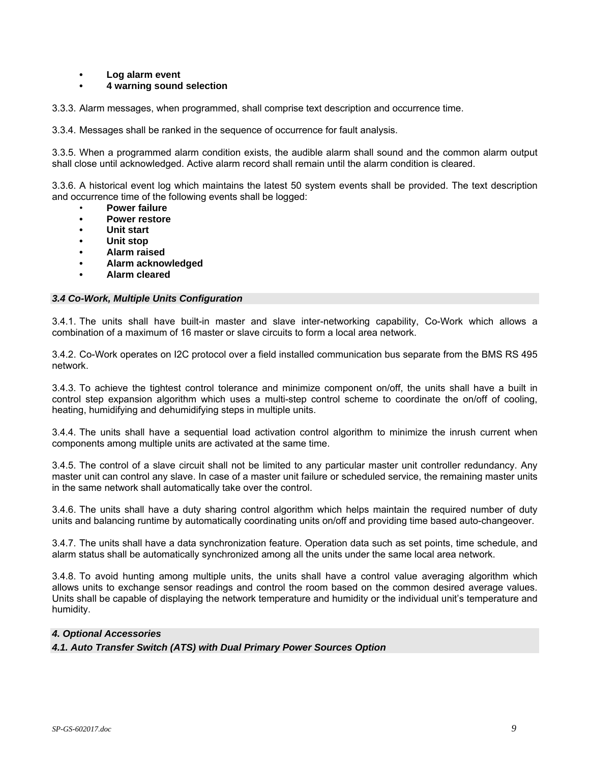- **Log alarm event**
- **4 warning sound selection**

3.3.3. Alarm messages, when programmed, shall comprise text description and occurrence time.

3.3.4. Messages shall be ranked in the sequence of occurrence for fault analysis.

3.3.5. When a programmed alarm condition exists, the audible alarm shall sound and the common alarm output shall close until acknowledged. Active alarm record shall remain until the alarm condition is cleared.

3.3.6. A historical event log which maintains the latest 50 system events shall be provided. The text description and occurrence time of the following events shall be logged:

- **Power failure**
- **Power restore**
- **Unit start**
- **Unit stop**
- **Alarm raised**
- **Alarm acknowledged**
- **Alarm cleared**

# *3.4 Co-Work, Multiple Units Configuration*

3.4.1. The units shall have built-in master and slave inter-networking capability, Co-Work which allows a combination of a maximum of 16 master or slave circuits to form a local area network.

3.4.2. Co-Work operates on I2C protocol over a field installed communication bus separate from the BMS RS 495 network.

3.4.3. To achieve the tightest control tolerance and minimize component on/off, the units shall have a built in control step expansion algorithm which uses a multi-step control scheme to coordinate the on/off of cooling, heating, humidifying and dehumidifying steps in multiple units.

3.4.4. The units shall have a sequential load activation control algorithm to minimize the inrush current when components among multiple units are activated at the same time.

3.4.5. The control of a slave circuit shall not be limited to any particular master unit controller redundancy. Any master unit can control any slave. In case of a master unit failure or scheduled service, the remaining master units in the same network shall automatically take over the control.

3.4.6. The units shall have a duty sharing control algorithm which helps maintain the required number of duty units and balancing runtime by automatically coordinating units on/off and providing time based auto-changeover.

3.4.7. The units shall have a data synchronization feature. Operation data such as set points, time schedule, and alarm status shall be automatically synchronized among all the units under the same local area network.

3.4.8. To avoid hunting among multiple units, the units shall have a control value averaging algorithm which allows units to exchange sensor readings and control the room based on the common desired average values. Units shall be capable of displaying the network temperature and humidity or the individual unit's temperature and humidity.

# *4. Optional Accessories*

*4.1. Auto Transfer Switch (ATS) with Dual Primary Power Sources Option*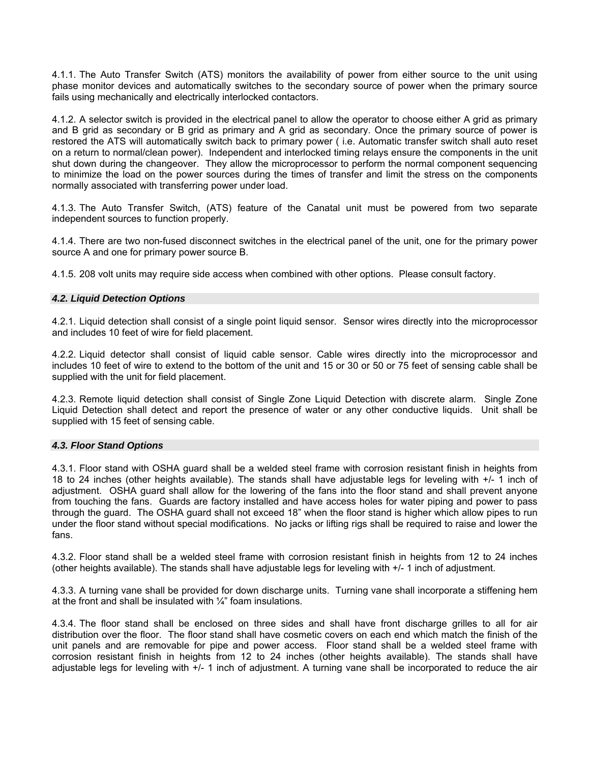4.1.1. The Auto Transfer Switch (ATS) monitors the availability of power from either source to the unit using phase monitor devices and automatically switches to the secondary source of power when the primary source fails using mechanically and electrically interlocked contactors.

4.1.2. A selector switch is provided in the electrical panel to allow the operator to choose either A grid as primary and B grid as secondary or B grid as primary and A grid as secondary. Once the primary source of power is restored the ATS will automatically switch back to primary power ( i.e. Automatic transfer switch shall auto reset on a return to normal/clean power). Independent and interlocked timing relays ensure the components in the unit shut down during the changeover. They allow the microprocessor to perform the normal component sequencing to minimize the load on the power sources during the times of transfer and limit the stress on the components normally associated with transferring power under load.

4.1.3. The Auto Transfer Switch, (ATS) feature of the Canatal unit must be powered from two separate independent sources to function properly.

4.1.4. There are two non-fused disconnect switches in the electrical panel of the unit, one for the primary power source A and one for primary power source B.

4.1.5. 208 volt units may require side access when combined with other options. Please consult factory.

# *4.2. Liquid Detection Options*

4.2.1. Liquid detection shall consist of a single point liquid sensor. Sensor wires directly into the microprocessor and includes 10 feet of wire for field placement.

4.2.2. Liquid detector shall consist of liquid cable sensor. Cable wires directly into the microprocessor and includes 10 feet of wire to extend to the bottom of the unit and 15 or 30 or 50 or 75 feet of sensing cable shall be supplied with the unit for field placement.

4.2.3. Remote liquid detection shall consist of Single Zone Liquid Detection with discrete alarm. Single Zone Liquid Detection shall detect and report the presence of water or any other conductive liquids. Unit shall be supplied with 15 feet of sensing cable.

#### *4.3. Floor Stand Options*

4.3.1. Floor stand with OSHA guard shall be a welded steel frame with corrosion resistant finish in heights from 18 to 24 inches (other heights available). The stands shall have adjustable legs for leveling with +/- 1 inch of adjustment. OSHA guard shall allow for the lowering of the fans into the floor stand and shall prevent anyone from touching the fans. Guards are factory installed and have access holes for water piping and power to pass through the guard. The OSHA guard shall not exceed 18" when the floor stand is higher which allow pipes to run under the floor stand without special modifications. No jacks or lifting rigs shall be required to raise and lower the fans.

4.3.2. Floor stand shall be a welded steel frame with corrosion resistant finish in heights from 12 to 24 inches (other heights available). The stands shall have adjustable legs for leveling with +/- 1 inch of adjustment.

4.3.3. A turning vane shall be provided for down discharge units. Turning vane shall incorporate a stiffening hem at the front and shall be insulated with  $\frac{1}{4}$ " foam insulations.

4.3.4. The floor stand shall be enclosed on three sides and shall have front discharge grilles to all for air distribution over the floor. The floor stand shall have cosmetic covers on each end which match the finish of the unit panels and are removable for pipe and power access. Floor stand shall be a welded steel frame with corrosion resistant finish in heights from 12 to 24 inches (other heights available). The stands shall have adjustable legs for leveling with +/- 1 inch of adjustment. A turning vane shall be incorporated to reduce the air